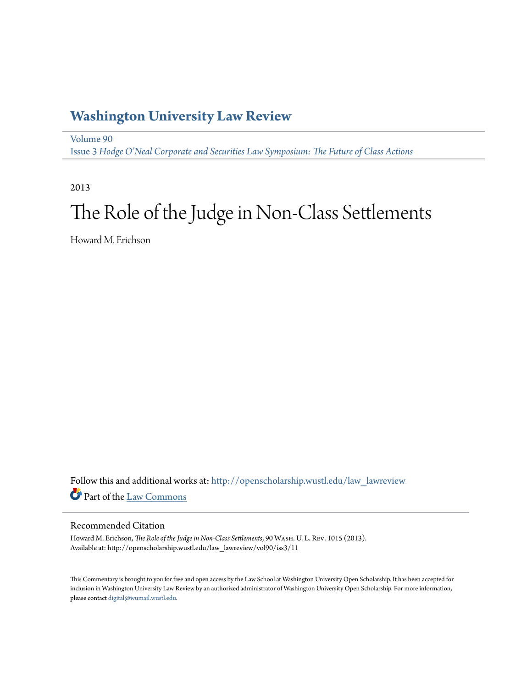## **[Washington University Law Review](http://openscholarship.wustl.edu/law_lawreview?utm_source=openscholarship.wustl.edu%2Flaw_lawreview%2Fvol90%2Fiss3%2F11&utm_medium=PDF&utm_campaign=PDFCoverPages)**

[Volume 90](http://openscholarship.wustl.edu/law_lawreview/vol90?utm_source=openscholarship.wustl.edu%2Flaw_lawreview%2Fvol90%2Fiss3%2F11&utm_medium=PDF&utm_campaign=PDFCoverPages) Issue 3 *[Hodge O'Neal Corporate and Securities Law Symposium: The Future of Class Actions](http://openscholarship.wustl.edu/law_lawreview/vol90/iss3?utm_source=openscholarship.wustl.edu%2Flaw_lawreview%2Fvol90%2Fiss3%2F11&utm_medium=PDF&utm_campaign=PDFCoverPages)*

2013

# The Role of the Judge in Non-Class Settlements

Howard M. Erichson

Follow this and additional works at: [http://openscholarship.wustl.edu/law\\_lawreview](http://openscholarship.wustl.edu/law_lawreview?utm_source=openscholarship.wustl.edu%2Flaw_lawreview%2Fvol90%2Fiss3%2F11&utm_medium=PDF&utm_campaign=PDFCoverPages) Part of the [Law Commons](http://network.bepress.com/hgg/discipline/578?utm_source=openscholarship.wustl.edu%2Flaw_lawreview%2Fvol90%2Fiss3%2F11&utm_medium=PDF&utm_campaign=PDFCoverPages)

#### Recommended Citation

Howard M. Erichson, *The Role of the Judge in Non-Class Settlements*, 90 Wash. U. L. Rev. 1015 (2013). Available at: http://openscholarship.wustl.edu/law\_lawreview/vol90/iss3/11

This Commentary is brought to you for free and open access by the Law School at Washington University Open Scholarship. It has been accepted for inclusion in Washington University Law Review by an authorized administrator of Washington University Open Scholarship. For more information, please contact [digital@wumail.wustl.edu.](mailto:digital@wumail.wustl.edu)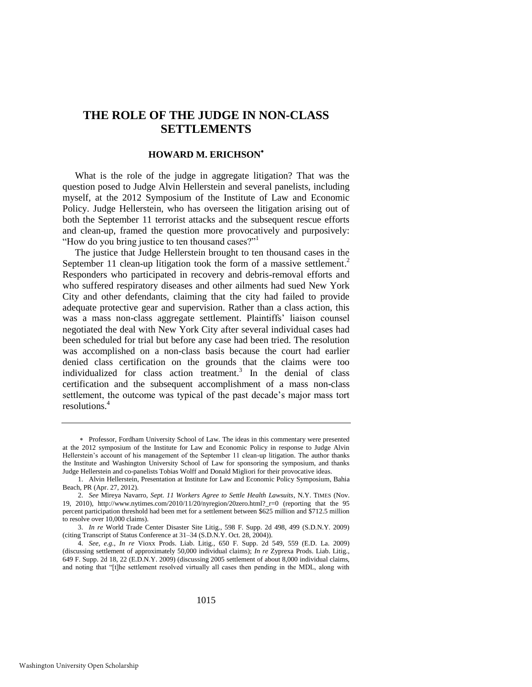### **THE ROLE OF THE JUDGE IN NON-CLASS SETTLEMENTS**

#### **HOWARD M. ERICHSON**

What is the role of the judge in aggregate litigation? That was the question posed to Judge Alvin Hellerstein and several panelists, including myself, at the 2012 Symposium of the Institute of Law and Economic Policy. Judge Hellerstein, who has overseen the litigation arising out of both the September 11 terrorist attacks and the subsequent rescue efforts and clean-up, framed the question more provocatively and purposively: "How do you bring justice to ten thousand cases?"

The justice that Judge Hellerstein brought to ten thousand cases in the September 11 clean-up litigation took the form of a massive settlement.<sup>2</sup> Responders who participated in recovery and debris-removal efforts and who suffered respiratory diseases and other ailments had sued New York City and other defendants, claiming that the city had failed to provide adequate protective gear and supervision. Rather than a class action, this was a mass non-class aggregate settlement. Plaintiffs' liaison counsel negotiated the deal with New York City after several individual cases had been scheduled for trial but before any case had been tried. The resolution was accomplished on a non-class basis because the court had earlier denied class certification on the grounds that the claims were too individualized for class action treatment.<sup>3</sup> In the denial of class certification and the subsequent accomplishment of a mass non-class settlement, the outcome was typical of the past decade's major mass tort resolutions.<sup>4</sup>

Professor, Fordham University School of Law. The ideas in this commentary were presented at the 2012 symposium of the Institute for Law and Economic Policy in response to Judge Alvin Hellerstein's account of his management of the September 11 clean-up litigation. The author thanks the Institute and Washington University School of Law for sponsoring the symposium, and thanks Judge Hellerstein and co-panelists Tobias Wolff and Donald Migliori for their provocative ideas.

<sup>1.</sup> Alvin Hellerstein, Presentation at Institute for Law and Economic Policy Symposium, Bahia Beach, PR (Apr. 27, 2012).

<sup>2.</sup> *See* Mireya Navarro, *Sept. 11 Workers Agree to Settle Health Lawsuits*, N.Y. TIMES (Nov. 19, 2010), http://www.nytimes.com/2010/11/20/nyregion/20zero.html?\_r=0 (reporting that the 95 percent participation threshold had been met for a settlement between \$625 million and \$712.5 million to resolve over 10,000 claims).

<sup>3.</sup> *In re* World Trade Center Disaster Site Litig., 598 F. Supp. 2d 498, 499 (S.D.N.Y. 2009) (citing Transcript of Status Conference at 31–34 (S.D.N.Y. Oct. 28, 2004)).

<sup>4.</sup> *See, e.g.*, *In re* Vioxx Prods. Liab. Litig., 650 F. Supp. 2d 549, 559 (E.D. La. 2009) (discussing settlement of approximately 50,000 individual claims); *In re* Zyprexa Prods. Liab. Litig., 649 F. Supp. 2d 18, 22 (E.D.N.Y. 2009) (discussing 2005 settlement of about 8,000 individual claims, and noting that "[t]he settlement resolved virtually all cases then pending in the MDL, along with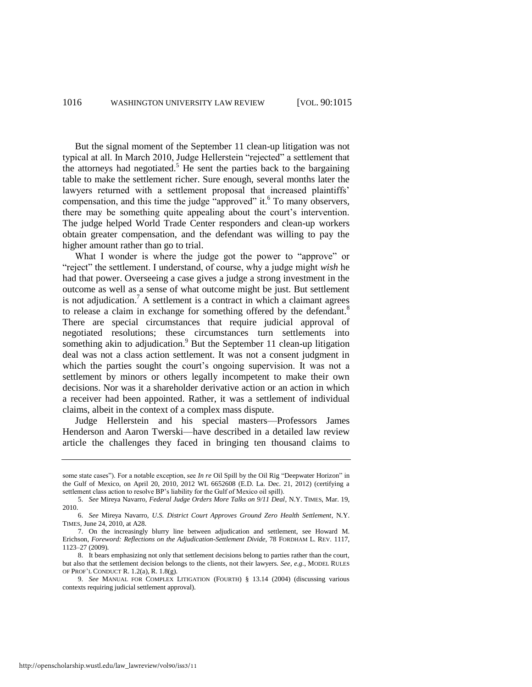But the signal moment of the September 11 clean-up litigation was not typical at all. In March 2010, Judge Hellerstein "rejected" a settlement that the attorneys had negotiated.<sup>5</sup> He sent the parties back to the bargaining table to make the settlement richer. Sure enough, several months later the lawyers returned with a settlement proposal that increased plaintiffs' compensation, and this time the judge "approved" it. To many observers, there may be something quite appealing about the court's intervention. The judge helped World Trade Center responders and clean-up workers obtain greater compensation, and the defendant was willing to pay the higher amount rather than go to trial.

What I wonder is where the judge got the power to "approve" or "reject" the settlement. I understand, of course, why a judge might *wish* he had that power. Overseeing a case gives a judge a strong investment in the outcome as well as a sense of what outcome might be just. But settlement is not adjudication.<sup>7</sup> A settlement is a contract in which a claimant agrees to release a claim in exchange for something offered by the defendant.<sup>8</sup> There are special circumstances that require judicial approval of negotiated resolutions; these circumstances turn settlements into something akin to adjudication.<sup>9</sup> But the September 11 clean-up litigation deal was not a class action settlement. It was not a consent judgment in which the parties sought the court's ongoing supervision. It was not a settlement by minors or others legally incompetent to make their own decisions. Nor was it a shareholder derivative action or an action in which a receiver had been appointed. Rather, it was a settlement of individual claims, albeit in the context of a complex mass dispute.

Judge Hellerstein and his special masters—Professors James Henderson and Aaron Twerski—have described in a detailed law review article the challenges they faced in bringing ten thousand claims to

some state cases"). For a notable exception, see *In re* Oil Spill by the Oil Rig "Deepwater Horizon" in the Gulf of Mexico, on April 20, 2010, 2012 WL 6652608 (E.D. La. Dec. 21, 2012) (certifying a settlement class action to resolve BP's liability for the Gulf of Mexico oil spill).

<sup>5.</sup> *See* Mireya Navarro, *Federal Judge Orders More Talks on 9/11 Deal*, N.Y. TIMES, Mar. 19, 2010.

<sup>6.</sup> *See* Mireya Navarro, *U.S. District Court Approves Ground Zero Health Settlement*, N.Y. TIMES, June 24, 2010, at A28.

<sup>7.</sup> On the increasingly blurry line between adjudication and settlement, see Howard M. Erichson, *Foreword: Reflections on the Adjudication-Settlement Divide*, 78 FORDHAM L. REV. 1117, 1123–27 (2009).

<sup>8.</sup> It bears emphasizing not only that settlement decisions belong to parties rather than the court, but also that the settlement decision belongs to the clients, not their lawyers. *See, e.g.*, MODEL RULES OF PROF'L CONDUCT R. 1.2(a), R. 1.8(g).

<sup>9.</sup> *See* MANUAL FOR COMPLEX LITIGATION (FOURTH) § 13.14 (2004) (discussing various contexts requiring judicial settlement approval).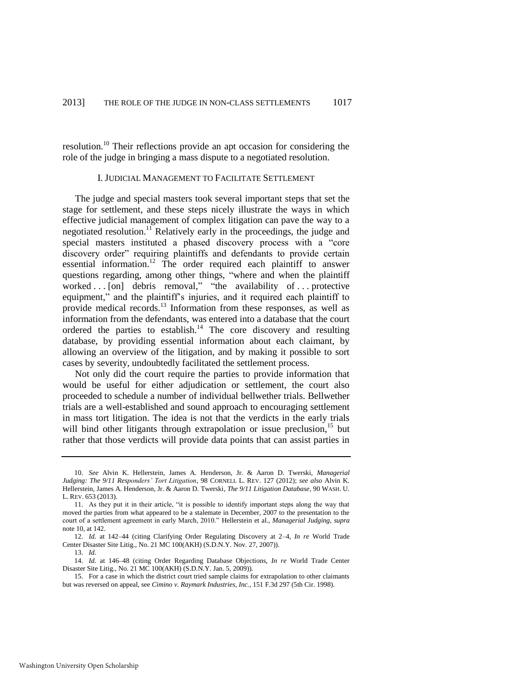resolution.<sup>10</sup> Their reflections provide an apt occasion for considering the role of the judge in bringing a mass dispute to a negotiated resolution.

#### <span id="page-3-0"></span>I. JUDICIAL MANAGEMENT TO FACILITATE SETTLEMENT

The judge and special masters took several important steps that set the stage for settlement, and these steps nicely illustrate the ways in which effective judicial management of complex litigation can pave the way to a negotiated resolution.<sup>11</sup> Relatively early in the proceedings, the judge and special masters instituted a phased discovery process with a "core discovery order" requiring plaintiffs and defendants to provide certain essential information.<sup>12</sup> The order required each plaintiff to answer questions regarding, among other things, "where and when the plaintiff worked . . . [on] debris removal," "the availability of . . . protective equipment," and the plaintiff's injuries, and it required each plaintiff to provide medical records.<sup>13</sup> Information from these responses, as well as information from the defendants, was entered into a database that the court ordered the parties to establish. $14$  The core discovery and resulting database, by providing essential information about each claimant, by allowing an overview of the litigation, and by making it possible to sort cases by severity, undoubtedly facilitated the settlement process.

Not only did the court require the parties to provide information that would be useful for either adjudication or settlement, the court also proceeded to schedule a number of individual bellwether trials. Bellwether trials are a well-established and sound approach to encouraging settlement in mass tort litigation. The idea is not that the verdicts in the early trials will bind other litigants through extrapolation or issue preclusion, $15$  but rather that those verdicts will provide data points that can assist parties in

13. *Id.*

<sup>10.</sup> *See* Alvin K. Hellerstein, James A. Henderson, Jr. & Aaron D. Twerski, *Managerial Judging: The 9/11 Responders' Tort Litigation*, 98 CORNELL L. REV. 127 (2012); *see also* Alvin K. Hellerstein, James A. Henderson, Jr. & Aaron D. Twerski, *The 9/11 Litigation Database*, 90 WASH. U. L. REV. 653 (2013).

<sup>11.</sup> As they put it in their article, "it is possible to identify important steps along the way that moved the parties from what appeared to be a stalemate in December, 2007 to the presentation to the court of a settlement agreement in early March, 2010." Hellerstein et al., *Managerial Judging*, *supra*  note [10,](#page-3-0) at 142.

<sup>12.</sup> *Id.* at 142–44 (citing Clarifying Order Regulating Discovery at 2–4, *In re* World Trade Center Disaster Site Litig., No. 21 MC 100(AKH) (S.D.N.Y. Nov. 27, 2007)).

<sup>14.</sup> *Id.* at 146–48 (citing Order Regarding Database Objections, *In re* World Trade Center Disaster Site Litig., No. 21 MC 100(AKH) (S.D.N.Y. Jan. 5, 2009)).

<sup>15.</sup> For a case in which the district court tried sample claims for extrapolation to other claimants but was reversed on appeal, see *Cimino v. Raymark Industries, Inc.*, 151 F.3d 297 (5th Cir. 1998).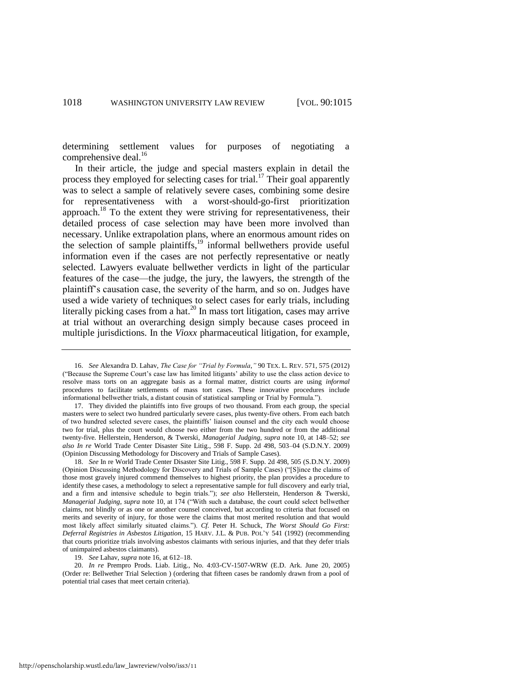<span id="page-4-0"></span>determining settlement values for purposes of negotiating a comprehensive deal.<sup>16</sup>

In their article, the judge and special masters explain in detail the process they employed for selecting cases for trial.<sup>17</sup> Their goal apparently was to select a sample of relatively severe cases, combining some desire for representativeness with a worst-should-go-first prioritization approach.<sup>18</sup> To the extent they were striving for representativeness, their detailed process of case selection may have been more involved than necessary. Unlike extrapolation plans, where an enormous amount rides on the selection of sample plaintiffs,<sup>19</sup> informal bellwethers provide useful information even if the cases are not perfectly representative or neatly selected. Lawyers evaluate bellwether verdicts in light of the particular features of the case—the judge, the jury, the lawyers, the strength of the plaintiff's causation case, the severity of the harm, and so on. Judges have used a wide variety of techniques to select cases for early trials, including literally picking cases from a hat.<sup>20</sup> In mass tort litigation, cases may arrive at trial without an overarching design simply because cases proceed in multiple jurisdictions. In the *Vioxx* pharmaceutical litigation, for example,

19. *See* Lahav, *supra* not[e 16,](#page-4-0) at 612–18.

20. *In re* Prempro Prods. Liab. Litig., No. 4:03-CV-1507-WRW (E.D. Ark. June 20, 2005) (Order re: Bellwether Trial Selection ) (ordering that fifteen cases be randomly drawn from a pool of potential trial cases that meet certain criteria).

<sup>16.</sup> *See* Alexandra D. Lahav, *The Case for "Trial by Formula*,*"* 90 TEX. L. REV. 571, 575 (2012) ("Because the Supreme Court's case law has limited litigants' ability to use the class action device to resolve mass torts on an aggregate basis as a formal matter, district courts are using *informal* procedures to facilitate settlements of mass tort cases. These innovative procedures include informational bellwether trials, a distant cousin of statistical sampling or Trial by Formula.").

<sup>17.</sup> They divided the plaintiffs into five groups of two thousand. From each group, the special masters were to select two hundred particularly severe cases, plus twenty-five others. From each batch of two hundred selected severe cases, the plaintiffs' liaison counsel and the city each would choose two for trial, plus the court would choose two either from the two hundred or from the additional twenty-five. Hellerstein, Henderson, & Twerski, *Managerial Judging*, *supra* note [10,](#page-3-0) at 148–52; *see also In re* World Trade Center Disaster Site Litig., 598 F. Supp. 2d 498, 503–04 (S.D.N.Y. 2009) (Opinion Discussing Methodology for Discovery and Trials of Sample Cases).

<sup>18.</sup> *See* In re World Trade Center Disaster Site Litig., 598 F. Supp. 2d 498, 505 (S.D.N.Y. 2009) (Opinion Discussing Methodology for Discovery and Trials of Sample Cases) ("[S]ince the claims of those most gravely injured commend themselves to highest priority, the plan provides a procedure to identify these cases, a methodology to select a representative sample for full discovery and early trial, and a firm and intensive schedule to begin trials."); *see also* Hellerstein, Henderson & Twerski, *Managerial Judging*, *supra* note [10,](#page-3-0) at 174 ("With such a database, the court could select bellwether claims, not blindly or as one or another counsel conceived, but according to criteria that focused on merits and severity of injury, for those were the claims that most merited resolution and that would most likely affect similarly situated claims."). *Cf.* Peter H. Schuck, *The Worst Should Go First: Deferral Registries in Asbestos Litigation*, 15 HARV. J.L. & PUB. POL'Y 541 (1992) (recommending that courts prioritize trials involving asbestos claimants with serious injuries, and that they defer trials of unimpaired asbestos claimants).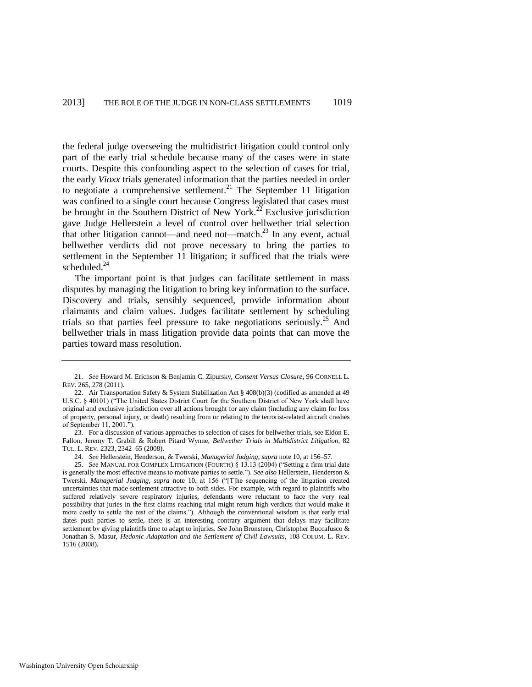the federal judge overseeing the multidistrict litigation could control only part of the early trial schedule because many of the cases were in state courts. Despite this confounding aspect to the selection of cases for trial, the early *Vioxx* trials generated information that the parties needed in order to negotiate a comprehensive settlement.<sup>21</sup> The September 11 litigation was confined to a single court because Congress legislated that cases must be brought in the Southern District of New York.<sup>22</sup> Exclusive jurisdiction gave Judge Hellerstein a level of control over bellwether trial selection that other litigation cannot—and need not—match. $^{23}$  In any event, actual bellwether verdicts did not prove necessary to bring the parties to settlement in the September 11 litigation; it sufficed that the trials were scheduled.<sup>24</sup>

The important point is that judges can facilitate settlement in mass disputes by managing the litigation to bring key information to the surface. Discovery and trials, sensibly sequenced, provide information about claimants and claim values. Judges facilitate settlement by scheduling trials so that parties feel pressure to take negotiations seriously.<sup>25</sup> And bellwether trials in mass litigation provide data points that can move the parties toward mass resolution.

<sup>21.</sup> *See* Howard M. Erichson & Benjamin C. Zipursky, *Consent Versus Closure*, 96 CORNELL L. REV. 265, 278 (2011).

<sup>22.</sup> Air Transportation Safety & System Stabilization Act § 408(b)(3) (codified as amended at 49 U.S.C. § 40101) ("The United States District Court for the Southern District of New York shall have original and exclusive jurisdiction over all actions brought for any claim (including any claim for loss of property, personal injury, or death) resulting from or relating to the terrorist-related aircraft crashes of September 11, 2001.").

<sup>23.</sup> For a discussion of various approaches to selection of cases for bellwether trials, see Eldon E. Fallon, Jeremy T. Grabill & Robert Pitard Wynne, *Bellwether Trials in Multidistrict Litigation*, 82 TUL. L. REV. 2323, 2342–65 (2008).

<sup>24.</sup> *See* Hellerstein, Henderson, & Twerski, *Managerial Judging*, *supra* not[e 10,](#page-3-0) at 156–57.

<sup>25.</sup> *See* MANUAL FOR COMPLEX LITIGATION (FOURTH) § 13.13 (2004) ("Setting a firm trial date is generally the most effective means to motivate parties to settle."). *See also* Hellerstein, Henderson & Twerski, *Managerial Judging*, *supra* note [10,](#page-3-0) at 156 ("[T]he sequencing of the litigation created uncertainties that made settlement attractive to both sides. For example, with regard to plaintiffs who suffered relatively severe respiratory injuries, defendants were reluctant to face the very real possibility that juries in the first claims reaching trial might return high verdicts that would make it more costly to settle the rest of the claims."). Although the conventional wisdom is that early trial dates push parties to settle, there is an interesting contrary argument that delays may facilitate settlement by giving plaintiffs time to adapt to injuries. *See* John Bronsteen, Christopher Buccafusco & Jonathan S. Masur, *Hedonic Adaptation and the Settlement of Civil Lawsuits*, 108 COLUM. L. REV. 1516 (2008).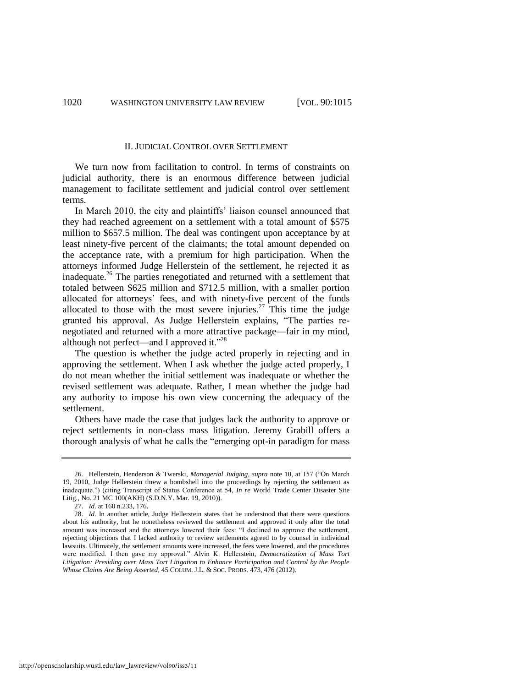#### II. JUDICIAL CONTROL OVER SETTLEMENT

We turn now from facilitation to control. In terms of constraints on judicial authority, there is an enormous difference between judicial management to facilitate settlement and judicial control over settlement terms.

In March 2010, the city and plaintiffs' liaison counsel announced that they had reached agreement on a settlement with a total amount of \$575 million to \$657.5 million. The deal was contingent upon acceptance by at least ninety-five percent of the claimants; the total amount depended on the acceptance rate, with a premium for high participation. When the attorneys informed Judge Hellerstein of the settlement, he rejected it as inadequate.<sup>26</sup> The parties renegotiated and returned with a settlement that totaled between \$625 million and \$712.5 million, with a smaller portion allocated for attorneys' fees, and with ninety-five percent of the funds allocated to those with the most severe injuries.<sup>27</sup> This time the judge granted his approval. As Judge Hellerstein explains, "The parties renegotiated and returned with a more attractive package—fair in my mind, although not perfect—and I approved it."<sup>28</sup>

The question is whether the judge acted properly in rejecting and in approving the settlement. When I ask whether the judge acted properly, I do not mean whether the initial settlement was inadequate or whether the revised settlement was adequate. Rather, I mean whether the judge had any authority to impose his own view concerning the adequacy of the settlement.

Others have made the case that judges lack the authority to approve or reject settlements in non-class mass litigation. Jeremy Grabill offers a thorough analysis of what he calls the "emerging opt-in paradigm for mass

<sup>26.</sup> Hellerstein, Henderson & Twerski, *Managerial Judging*, *supra* note [10,](#page-3-0) at 157 ("On March 19, 2010, Judge Hellerstein threw a bombshell into the proceedings by rejecting the settlement as inadequate.") (citing Transcript of Status Conference at 54, *In re* World Trade Center Disaster Site Litig., No. 21 MC 100(AKH) (S.D.N.Y. Mar. 19, 2010)).

<sup>27.</sup> *Id.* at 160 n.233, 176.

<sup>28.</sup> *Id.* In another article, Judge Hellerstein states that he understood that there were questions about his authority, but he nonetheless reviewed the settlement and approved it only after the total amount was increased and the attorneys lowered their fees: "I declined to approve the settlement, rejecting objections that I lacked authority to review settlements agreed to by counsel in individual lawsuits. Ultimately, the settlement amounts were increased, the fees were lowered, and the procedures were modified. I then gave my approval." Alvin K. Hellerstein, *Democratization of Mass Tort Litigation: Presiding over Mass Tort Litigation to Enhance Participation and Control by the People Whose Claims Are Being Asserted*, 45 COLUM. J.L. & SOC. PROBS. 473, 476 (2012).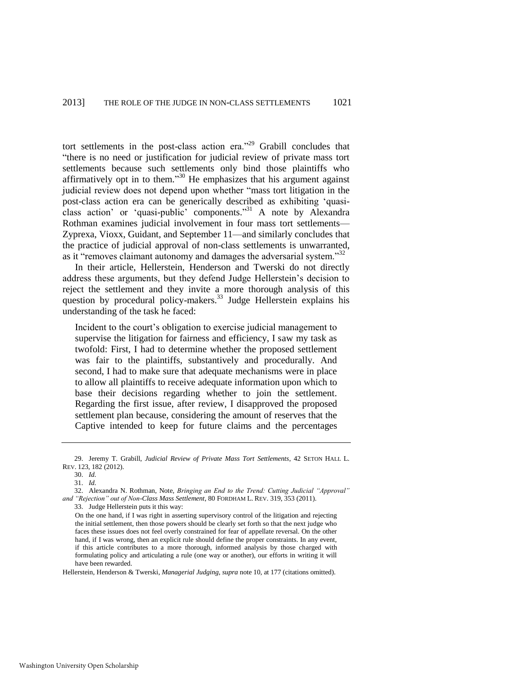tort settlements in the post-class action era."<sup>29</sup> Grabill concludes that "there is no need or justification for judicial review of private mass tort settlements because such settlements only bind those plaintiffs who affirmatively opt in to them."<sup>30</sup> He emphasizes that his argument against judicial review does not depend upon whether "mass tort litigation in the post-class action era can be generically described as exhibiting 'quasiclass action' or 'quasi-public' components." <sup>31</sup> A note by Alexandra Rothman examines judicial involvement in four mass tort settlements— Zyprexa, Vioxx, Guidant, and September 11—and similarly concludes that the practice of judicial approval of non-class settlements is unwarranted, as it "removes claimant autonomy and damages the adversarial system."<sup>32</sup>

In their article, Hellerstein, Henderson and Twerski do not directly address these arguments, but they defend Judge Hellerstein's decision to reject the settlement and they invite a more thorough analysis of this question by procedural policy-makers.<sup>33</sup> Judge Hellerstein explains his understanding of the task he faced:

Incident to the court's obligation to exercise judicial management to supervise the litigation for fairness and efficiency, I saw my task as twofold: First, I had to determine whether the proposed settlement was fair to the plaintiffs, substantively and procedurally. And second, I had to make sure that adequate mechanisms were in place to allow all plaintiffs to receive adequate information upon which to base their decisions regarding whether to join the settlement. Regarding the first issue, after review, I disapproved the proposed settlement plan because, considering the amount of reserves that the Captive intended to keep for future claims and the percentages

Hellerstein, Henderson & Twerski, *Managerial Judging*, *supra* not[e 10,](#page-3-0) at 177 (citations omitted).

<sup>29.</sup> Jeremy T. Grabill, *Judicial Review of Private Mass Tort Settlements*, 42 SETON HALL L. REV. 123, 182 (2012).

<sup>30.</sup> *Id.*

<sup>31.</sup> *Id.*

<sup>32.</sup> Alexandra N. Rothman, Note, *Bringing an End to the Trend: Cutting Judicial "Approval" and "Rejection" out of Non-Class Mass Settlement*, 80 FORDHAM L. REV. 319, 353 (2011).

<sup>33.</sup> Judge Hellerstein puts it this way:

On the one hand, if I was right in asserting supervisory control of the litigation and rejecting the initial settlement, then those powers should be clearly set forth so that the next judge who faces these issues does not feel overly constrained for fear of appellate reversal. On the other hand, if I was wrong, then an explicit rule should define the proper constraints. In any event, if this article contributes to a more thorough, informed analysis by those charged with formulating policy and articulating a rule (one way or another), our efforts in writing it will have been rewarded.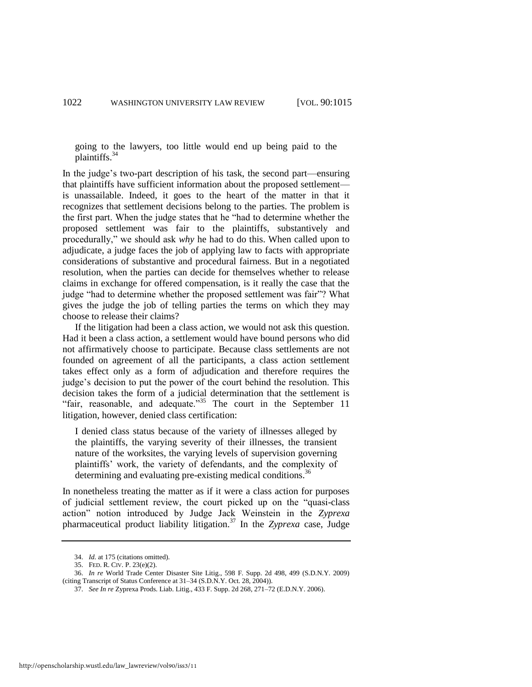going to the lawyers, too little would end up being paid to the plaintiffs.<sup>34</sup>

In the judge's two-part description of his task, the second part—ensuring that plaintiffs have sufficient information about the proposed settlement is unassailable. Indeed, it goes to the heart of the matter in that it recognizes that settlement decisions belong to the parties. The problem is the first part. When the judge states that he "had to determine whether the proposed settlement was fair to the plaintiffs, substantively and procedurally," we should ask *why* he had to do this. When called upon to adjudicate, a judge faces the job of applying law to facts with appropriate considerations of substantive and procedural fairness. But in a negotiated resolution, when the parties can decide for themselves whether to release claims in exchange for offered compensation, is it really the case that the judge "had to determine whether the proposed settlement was fair"? What gives the judge the job of telling parties the terms on which they may choose to release their claims?

If the litigation had been a class action, we would not ask this question. Had it been a class action, a settlement would have bound persons who did not affirmatively choose to participate. Because class settlements are not founded on agreement of all the participants, a class action settlement takes effect only as a form of adjudication and therefore requires the judge's decision to put the power of the court behind the resolution. This decision takes the form of a judicial determination that the settlement is "fair, reasonable, and adequate."<sup>35</sup> The court in the September 11 litigation, however, denied class certification:

I denied class status because of the variety of illnesses alleged by the plaintiffs, the varying severity of their illnesses, the transient nature of the worksites, the varying levels of supervision governing plaintiffs' work, the variety of defendants, and the complexity of determining and evaluating pre-existing medical conditions.<sup>36</sup>

In nonetheless treating the matter as if it were a class action for purposes of judicial settlement review, the court picked up on the "quasi-class action" notion introduced by Judge Jack Weinstein in the *Zyprexa* pharmaceutical product liability litigation.<sup>37</sup> In the *Zyprexa* case, Judge

<sup>34.</sup> *Id.* at 175 (citations omitted).

<sup>35.</sup> FED. R. CIV. P. 23(e)(2).

<sup>36.</sup> *In re* World Trade Center Disaster Site Litig., 598 F. Supp. 2d 498, 499 (S.D.N.Y. 2009) (citing Transcript of Status Conference at 31–34 (S.D.N.Y. Oct. 28, 2004)).

<sup>37.</sup> *See In re* Zyprexa Prods. Liab. Litig., 433 F. Supp. 2d 268, 271–72 (E.D.N.Y. 2006).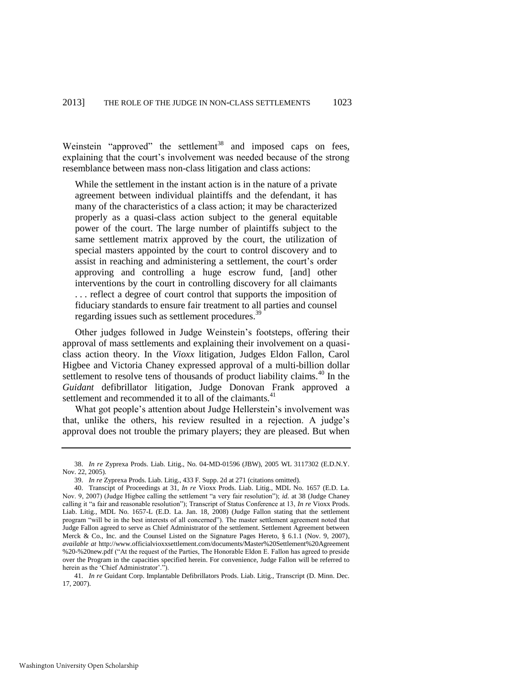Weinstein "approved" the settlement<sup>38</sup> and imposed caps on fees, explaining that the court's involvement was needed because of the strong resemblance between mass non-class litigation and class actions:

While the settlement in the instant action is in the nature of a private agreement between individual plaintiffs and the defendant, it has many of the characteristics of a class action; it may be characterized properly as a quasi-class action subject to the general equitable power of the court. The large number of plaintiffs subject to the same settlement matrix approved by the court, the utilization of special masters appointed by the court to control discovery and to assist in reaching and administering a settlement, the court's order approving and controlling a huge escrow fund, [and] other interventions by the court in controlling discovery for all claimants . . . reflect a degree of court control that supports the imposition of fiduciary standards to ensure fair treatment to all parties and counsel regarding issues such as settlement procedures.<sup>39</sup>

Other judges followed in Judge Weinstein's footsteps, offering their approval of mass settlements and explaining their involvement on a quasiclass action theory. In the *Vioxx* litigation, Judges Eldon Fallon, Carol Higbee and Victoria Chaney expressed approval of a multi-billion dollar settlement to resolve tens of thousands of product liability claims.<sup>40</sup> In the *Guidant* defibrillator litigation, Judge Donovan Frank approved a settlement and recommended it to all of the claimants.<sup>41</sup>

What got people's attention about Judge Hellerstein's involvement was that, unlike the others, his review resulted in a rejection. A judge's approval does not trouble the primary players; they are pleased. But when

41. *In re* Guidant Corp. Implantable Defibrillators Prods. Liab. Litig., Transcript (D. Minn. Dec. 17, 2007).

<sup>38.</sup> *In re* Zyprexa Prods. Liab. Litig., No. 04-MD-01596 (JBW), 2005 WL 3117302 (E.D.N.Y. Nov. 22, 2005).

<sup>39.</sup> *In re* Zyprexa Prods. Liab. Litig., 433 F. Supp. 2d at 271 (citations omitted).

<sup>40.</sup> Transcipt of Proceedings at 31, *In re* Vioxx Prods. Liab. Litig., MDL No. 1657 (E.D. La. Nov. 9, 2007) (Judge Higbee calling the settlement "a very fair resolution"); *id.* at 38 (Judge Chaney calling it "a fair and reasonable resolution"); Transcript of Status Conference at 13, *In re* Vioxx Prods. Liab. Litig., MDL No. 1657-L (E.D. La. Jan. 18, 2008) (Judge Fallon stating that the settlement program "will be in the best interests of all concerned"). The master settlement agreement noted that Judge Fallon agreed to serve as Chief Administrator of the settlement. Settlement Agreement between Merck & Co., Inc. and the Counsel Listed on the Signature Pages Hereto, § 6.1.1 (Nov. 9, 2007), *available at* http://www.officialvioxxsettlement.com/documents/Master%20Settlement%20Agreement %20-%20new.pdf ("At the request of the Parties, The Honorable Eldon E. Fallon has agreed to preside over the Program in the capacities specified herein. For convenience, Judge Fallon will be referred to herein as the 'Chief Administrator'.")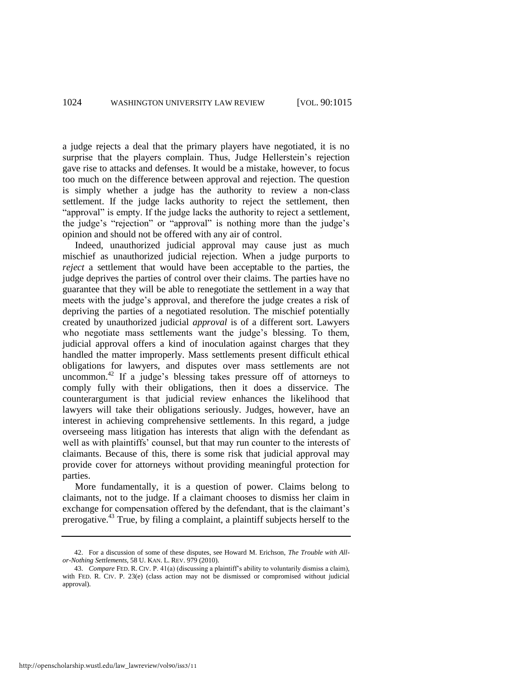a judge rejects a deal that the primary players have negotiated, it is no surprise that the players complain. Thus, Judge Hellerstein's rejection gave rise to attacks and defenses. It would be a mistake, however, to focus too much on the difference between approval and rejection. The question is simply whether a judge has the authority to review a non-class settlement. If the judge lacks authority to reject the settlement, then "approval" is empty. If the judge lacks the authority to reject a settlement, the judge's "rejection" or "approval" is nothing more than the judge's opinion and should not be offered with any air of control.

Indeed, unauthorized judicial approval may cause just as much mischief as unauthorized judicial rejection. When a judge purports to *reject* a settlement that would have been acceptable to the parties, the judge deprives the parties of control over their claims. The parties have no guarantee that they will be able to renegotiate the settlement in a way that meets with the judge's approval, and therefore the judge creates a risk of depriving the parties of a negotiated resolution. The mischief potentially created by unauthorized judicial *approval* is of a different sort. Lawyers who negotiate mass settlements want the judge's blessing. To them, judicial approval offers a kind of inoculation against charges that they handled the matter improperly. Mass settlements present difficult ethical obligations for lawyers, and disputes over mass settlements are not uncommon.<sup>42</sup> If a judge's blessing takes pressure off of attorneys to comply fully with their obligations, then it does a disservice. The counterargument is that judicial review enhances the likelihood that lawyers will take their obligations seriously. Judges, however, have an interest in achieving comprehensive settlements. In this regard, a judge overseeing mass litigation has interests that align with the defendant as well as with plaintiffs' counsel, but that may run counter to the interests of claimants. Because of this, there is some risk that judicial approval may provide cover for attorneys without providing meaningful protection for parties.

More fundamentally, it is a question of power. Claims belong to claimants, not to the judge. If a claimant chooses to dismiss her claim in exchange for compensation offered by the defendant, that is the claimant's prerogative.<sup>43</sup> True, by filing a complaint, a plaintiff subjects herself to the

<sup>42.</sup> For a discussion of some of these disputes, see Howard M. Erichson, *The Trouble with Allor-Nothing Settlements*, 58 U. KAN. L. REV. 979 (2010).

<sup>43.</sup> *Compare* FED. R. CIV. P. 41(a) (discussing a plaintiff's ability to voluntarily dismiss a claim), with FED. R. CIV. P. 23(e) (class action may not be dismissed or compromised without judicial approval).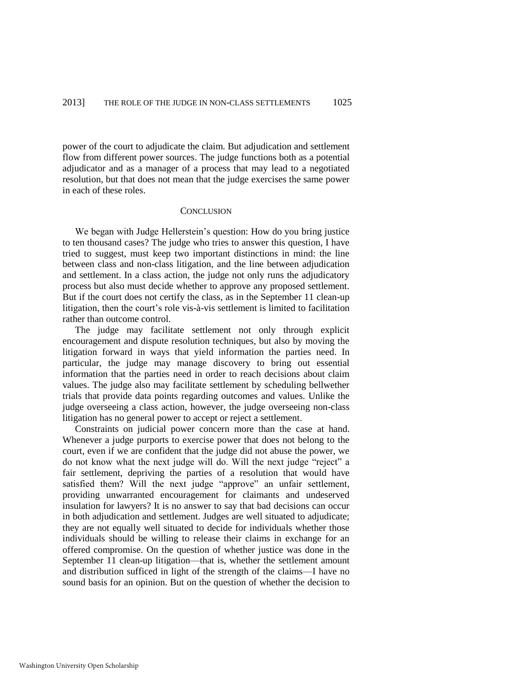power of the court to adjudicate the claim. But adjudication and settlement flow from different power sources. The judge functions both as a potential adjudicator and as a manager of a process that may lead to a negotiated resolution, but that does not mean that the judge exercises the same power in each of these roles.

#### **CONCLUSION**

We began with Judge Hellerstein's question: How do you bring justice to ten thousand cases? The judge who tries to answer this question, I have tried to suggest, must keep two important distinctions in mind: the line between class and non-class litigation, and the line between adjudication and settlement. In a class action, the judge not only runs the adjudicatory process but also must decide whether to approve any proposed settlement. But if the court does not certify the class, as in the September 11 clean-up litigation, then the court's role vis-à-vis settlement is limited to facilitation rather than outcome control.

The judge may facilitate settlement not only through explicit encouragement and dispute resolution techniques, but also by moving the litigation forward in ways that yield information the parties need. In particular, the judge may manage discovery to bring out essential information that the parties need in order to reach decisions about claim values. The judge also may facilitate settlement by scheduling bellwether trials that provide data points regarding outcomes and values. Unlike the judge overseeing a class action, however, the judge overseeing non-class litigation has no general power to accept or reject a settlement.

Constraints on judicial power concern more than the case at hand. Whenever a judge purports to exercise power that does not belong to the court, even if we are confident that the judge did not abuse the power, we do not know what the next judge will do. Will the next judge "reject" a fair settlement, depriving the parties of a resolution that would have satisfied them? Will the next judge "approve" an unfair settlement, providing unwarranted encouragement for claimants and undeserved insulation for lawyers? It is no answer to say that bad decisions can occur in both adjudication and settlement. Judges are well situated to adjudicate; they are not equally well situated to decide for individuals whether those individuals should be willing to release their claims in exchange for an offered compromise. On the question of whether justice was done in the September 11 clean-up litigation—that is, whether the settlement amount and distribution sufficed in light of the strength of the claims—I have no sound basis for an opinion. But on the question of whether the decision to